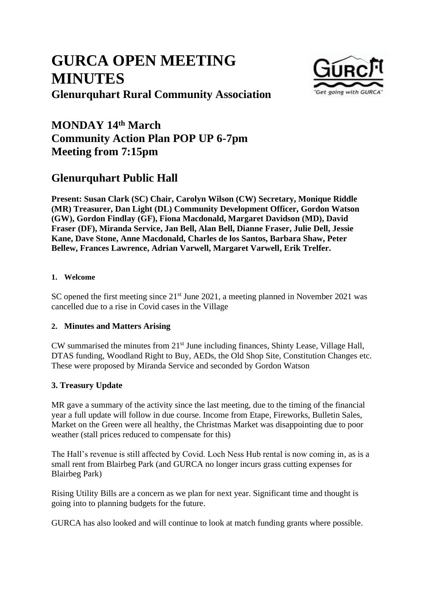# **GURCA OPEN MEETING MINUTES Glenurquhart Rural Community Association**



# **MONDAY 14th March Community Action Plan POP UP 6-7pm Meeting from 7:15pm**

# **Glenurquhart Public Hall**

**Present: Susan Clark (SC) Chair, Carolyn Wilson (CW) Secretary, Monique Riddle (MR) Treasurer, Dan Light (DL) Community Development Officer, Gordon Watson (GW), Gordon Findlay (GF), Fiona Macdonald, Margaret Davidson (MD), David Fraser (DF), Miranda Service, Jan Bell, Alan Bell, Dianne Fraser, Julie Dell, Jessie Kane, Dave Stone, Anne Macdonald, Charles de los Santos, Barbara Shaw, Peter Bellew, Frances Lawrence, Adrian Varwell, Margaret Varwell, Erik Trelfer.**

#### **1. Welcome**

SC opened the first meeting since 21<sup>st</sup> June 2021, a meeting planned in November 2021 was cancelled due to a rise in Covid cases in the Village

#### **2. Minutes and Matters Arising**

CW summarised the minutes from 21<sup>st</sup> June including finances, Shinty Lease, Village Hall, DTAS funding, Woodland Right to Buy, AEDs, the Old Shop Site, Constitution Changes etc. These were proposed by Miranda Service and seconded by Gordon Watson

#### **3. Treasury Update**

MR gave a summary of the activity since the last meeting, due to the timing of the financial year a full update will follow in due course. Income from Etape, Fireworks, Bulletin Sales, Market on the Green were all healthy, the Christmas Market was disappointing due to poor weather (stall prices reduced to compensate for this)

The Hall's revenue is still affected by Covid. Loch Ness Hub rental is now coming in, as is a small rent from Blairbeg Park (and GURCA no longer incurs grass cutting expenses for Blairbeg Park)

Rising Utility Bills are a concern as we plan for next year. Significant time and thought is going into to planning budgets for the future.

GURCA has also looked and will continue to look at match funding grants where possible.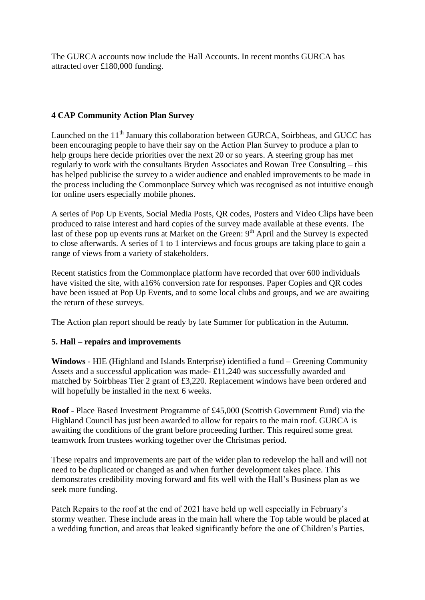The GURCA accounts now include the Hall Accounts. In recent months GURCA has attracted over £180,000 funding.

#### **4 CAP Community Action Plan Survey**

Launched on the 11<sup>th</sup> January this collaboration between GURCA, Soirbheas, and GUCC has been encouraging people to have their say on the Action Plan Survey to produce a plan to help groups here decide priorities over the next 20 or so years. A steering group has met regularly to work with the consultants Bryden Associates and Rowan Tree Consulting – this has helped publicise the survey to a wider audience and enabled improvements to be made in the process including the Commonplace Survey which was recognised as not intuitive enough for online users especially mobile phones.

A series of Pop Up Events, Social Media Posts, QR codes, Posters and Video Clips have been produced to raise interest and hard copies of the survey made available at these events. The last of these pop up events runs at Market on the Green:  $9<sup>th</sup>$  April and the Survey is expected to close afterwards. A series of 1 to 1 interviews and focus groups are taking place to gain a range of views from a variety of stakeholders.

Recent statistics from the Commonplace platform have recorded that over 600 individuals have visited the site, with a16% conversion rate for responses. Paper Copies and QR codes have been issued at Pop Up Events, and to some local clubs and groups, and we are awaiting the return of these surveys.

The Action plan report should be ready by late Summer for publication in the Autumn.

#### **5. Hall – repairs and improvements**

**Windows** - HIE (Highland and Islands Enterprise) identified a fund – Greening Community Assets and a successful application was made- £11,240 was successfully awarded and matched by Soirbheas Tier 2 grant of £3,220. Replacement windows have been ordered and will hopefully be installed in the next 6 weeks.

**Roof** - Place Based Investment Programme of £45,000 (Scottish Government Fund) via the Highland Council has just been awarded to allow for repairs to the main roof. GURCA is awaiting the conditions of the grant before proceeding further. This required some great teamwork from trustees working together over the Christmas period.

These repairs and improvements are part of the wider plan to redevelop the hall and will not need to be duplicated or changed as and when further development takes place. This demonstrates credibility moving forward and fits well with the Hall's Business plan as we seek more funding.

Patch Repairs to the roof at the end of 2021 have held up well especially in February's stormy weather. These include areas in the main hall where the Top table would be placed at a wedding function, and areas that leaked significantly before the one of Children's Parties.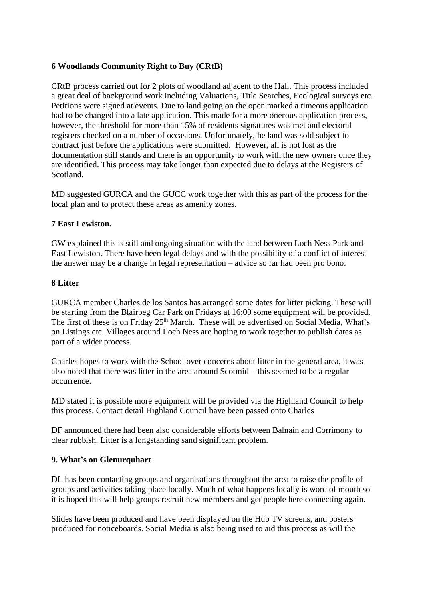#### **6 Woodlands Community Right to Buy (CRtB)**

CRtB process carried out for 2 plots of woodland adjacent to the Hall. This process included a great deal of background work including Valuations, Title Searches, Ecological surveys etc. Petitions were signed at events. Due to land going on the open marked a timeous application had to be changed into a late application. This made for a more onerous application process, however, the threshold for more than 15% of residents signatures was met and electoral registers checked on a number of occasions. Unfortunately, he land was sold subject to contract just before the applications were submitted. However, all is not lost as the documentation still stands and there is an opportunity to work with the new owners once they are identified. This process may take longer than expected due to delays at the Registers of Scotland.

MD suggested GURCA and the GUCC work together with this as part of the process for the local plan and to protect these areas as amenity zones.

#### **7 East Lewiston.**

GW explained this is still and ongoing situation with the land between Loch Ness Park and East Lewiston. There have been legal delays and with the possibility of a conflict of interest the answer may be a change in legal representation – advice so far had been pro bono.

#### **8 Litter**

GURCA member Charles de los Santos has arranged some dates for litter picking. These will be starting from the Blairbeg Car Park on Fridays at 16:00 some equipment will be provided. The first of these is on Friday 25<sup>th</sup> March. These will be advertised on Social Media, What's on Listings etc. Villages around Loch Ness are hoping to work together to publish dates as part of a wider process.

Charles hopes to work with the School over concerns about litter in the general area, it was also noted that there was litter in the area around Scotmid – this seemed to be a regular occurrence.

MD stated it is possible more equipment will be provided via the Highland Council to help this process. Contact detail Highland Council have been passed onto Charles

DF announced there had been also considerable efforts between Balnain and Corrimony to clear rubbish. Litter is a longstanding sand significant problem.

#### **9. What's on Glenurquhart**

DL has been contacting groups and organisations throughout the area to raise the profile of groups and activities taking place locally. Much of what happens locally is word of mouth so it is hoped this will help groups recruit new members and get people here connecting again.

Slides have been produced and have been displayed on the Hub TV screens, and posters produced for noticeboards. Social Media is also being used to aid this process as will the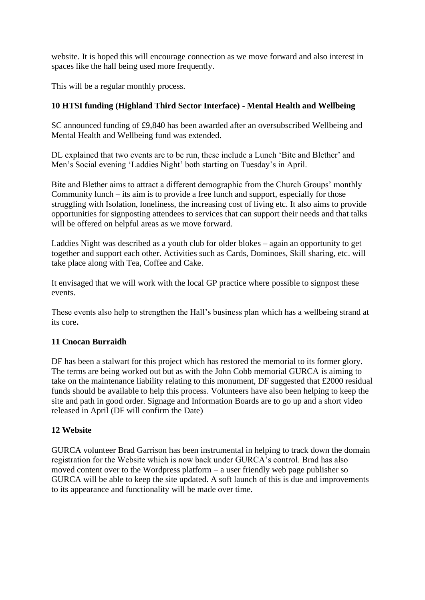website. It is hoped this will encourage connection as we move forward and also interest in spaces like the hall being used more frequently.

This will be a regular monthly process.

## **10 HTSI funding (Highland Third Sector Interface) - Mental Health and Wellbeing**

SC announced funding of £9,840 has been awarded after an oversubscribed Wellbeing and Mental Health and Wellbeing fund was extended.

DL explained that two events are to be run, these include a Lunch 'Bite and Blether' and Men's Social evening 'Laddies Night' both starting on Tuesday's in April.

Bite and Blether aims to attract a different demographic from the Church Groups' monthly Community lunch – its aim is to provide a free lunch and support, especially for those struggling with Isolation, loneliness, the increasing cost of living etc. It also aims to provide opportunities for signposting attendees to services that can support their needs and that talks will be offered on helpful areas as we move forward.

Laddies Night was described as a youth club for older blokes – again an opportunity to get together and support each other. Activities such as Cards, Dominoes, Skill sharing, etc. will take place along with Tea, Coffee and Cake.

It envisaged that we will work with the local GP practice where possible to signpost these events.

These events also help to strengthen the Hall's business plan which has a wellbeing strand at its core**.**

### **11 Cnocan Burraidh**

DF has been a stalwart for this project which has restored the memorial to its former glory. The terms are being worked out but as with the John Cobb memorial GURCA is aiming to take on the maintenance liability relating to this monument, DF suggested that £2000 residual funds should be available to help this process. Volunteers have also been helping to keep the site and path in good order. Signage and Information Boards are to go up and a short video released in April (DF will confirm the Date)

### **12 Website**

GURCA volunteer Brad Garrison has been instrumental in helping to track down the domain registration for the Website which is now back under GURCA's control. Brad has also moved content over to the Wordpress platform – a user friendly web page publisher so GURCA will be able to keep the site updated. A soft launch of this is due and improvements to its appearance and functionality will be made over time.